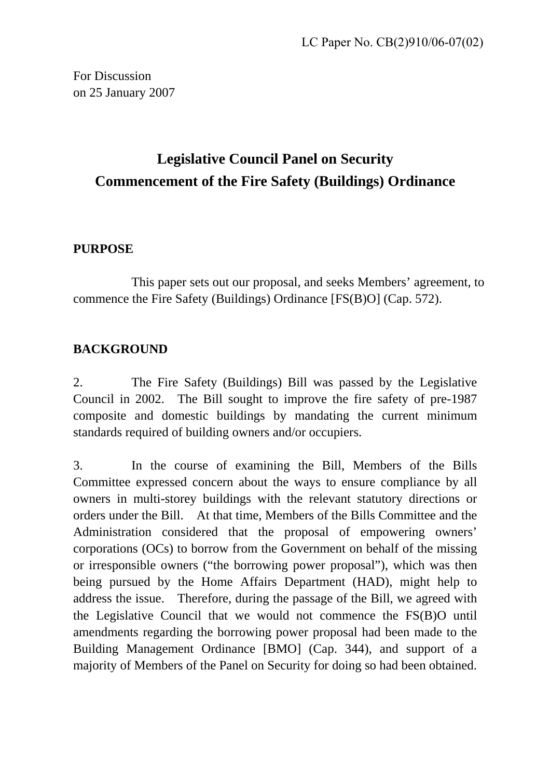For Discussion on 25 January 2007

# **Legislative Council Panel on Security Commencement of the Fire Safety (Buildings) Ordinance**

## **PURPOSE**

 This paper sets out our proposal, and seeks Members' agreement, to commence the Fire Safety (Buildings) Ordinance [FS(B)O] (Cap. 572).

## **BACKGROUND**

2. The Fire Safety (Buildings) Bill was passed by the Legislative Council in 2002. The Bill sought to improve the fire safety of pre-1987 composite and domestic buildings by mandating the current minimum standards required of building owners and/or occupiers.

3. In the course of examining the Bill, Members of the Bills Committee expressed concern about the ways to ensure compliance by all owners in multi-storey buildings with the relevant statutory directions or orders under the Bill. At that time, Members of the Bills Committee and the Administration considered that the proposal of empowering owners' corporations (OCs) to borrow from the Government on behalf of the missing or irresponsible owners ("the borrowing power proposal"), which was then being pursued by the Home Affairs Department (HAD), might help to address the issue. Therefore, during the passage of the Bill, we agreed with the Legislative Council that we would not commence the FS(B)O until amendments regarding the borrowing power proposal had been made to the Building Management Ordinance [BMO] (Cap. 344), and support of a majority of Members of the Panel on Security for doing so had been obtained.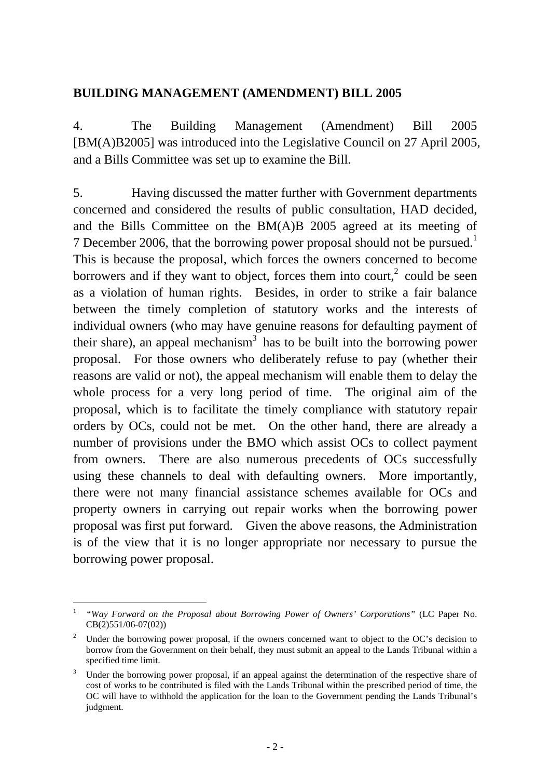#### **BUILDING MANAGEMENT (AMENDMENT) BILL 2005**

4. The Building Management (Amendment) Bill 2005 [BM(A)B2005] was introduced into the Legislative Council on 27 April 2005, and a Bills Committee was set up to examine the Bill.

5. Having discussed the matter further with Government departments concerned and considered the results of public consultation, HAD decided, and the Bills Committee on the BM(A)B 2005 agreed at its meeting of 7 December 2006, that the borrowing power proposal should not be pursued.<sup>1</sup> This is because the proposal, which forces the owners concerned to become borrowers and if they want to object, forces them into court, $2$  could be seen as a violation of human rights. Besides, in order to strike a fair balance between the timely completion of statutory works and the interests of individual owners (who may have genuine reasons for defaulting payment of their share), an appeal mechanism<sup>3</sup> has to be built into the borrowing power proposal. For those owners who deliberately refuse to pay (whether their reasons are valid or not), the appeal mechanism will enable them to delay the whole process for a very long period of time. The original aim of the proposal, which is to facilitate the timely compliance with statutory repair orders by OCs, could not be met. On the other hand, there are already a number of provisions under the BMO which assist OCs to collect payment from owners. There are also numerous precedents of OCs successfully using these channels to deal with defaulting owners. More importantly, there were not many financial assistance schemes available for OCs and property owners in carrying out repair works when the borrowing power proposal was first put forward. Given the above reasons, the Administration is of the view that it is no longer appropriate nor necessary to pursue the borrowing power proposal.

 $\overline{a}$ 

<sup>1</sup> *"Way Forward on the Proposal about Borrowing Power of Owners' Corporations"* (LC Paper No. CB(2)551/06-07(02))

<sup>2</sup> Under the borrowing power proposal, if the owners concerned want to object to the OC's decision to borrow from the Government on their behalf, they must submit an appeal to the Lands Tribunal within a specified time limit.

<sup>3</sup> Under the borrowing power proposal, if an appeal against the determination of the respective share of cost of works to be contributed is filed with the Lands Tribunal within the prescribed period of time, the OC will have to withhold the application for the loan to the Government pending the Lands Tribunal's judgment.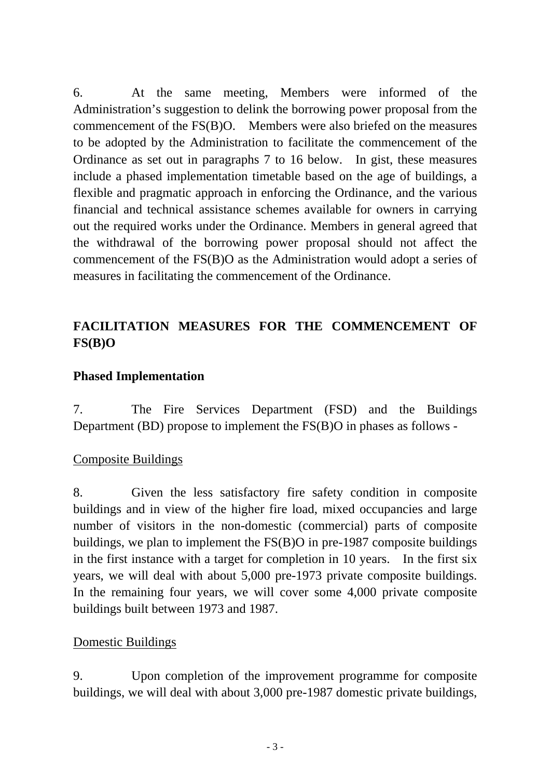6. At the same meeting, Members were informed of the Administration's suggestion to delink the borrowing power proposal from the commencement of the FS(B)O. Members were also briefed on the measures to be adopted by the Administration to facilitate the commencement of the Ordinance as set out in paragraphs 7 to 16 below. In gist, these measures include a phased implementation timetable based on the age of buildings, a flexible and pragmatic approach in enforcing the Ordinance, and the various financial and technical assistance schemes available for owners in carrying out the required works under the Ordinance. Members in general agreed that the withdrawal of the borrowing power proposal should not affect the commencement of the FS(B)O as the Administration would adopt a series of measures in facilitating the commencement of the Ordinance.

## **FACILITATION MEASURES FOR THE COMMENCEMENT OF FS(B)O**

### **Phased Implementation**

7. The Fire Services Department (FSD) and the Buildings Department (BD) propose to implement the FS(B)O in phases as follows -

#### Composite Buildings

8. Given the less satisfactory fire safety condition in composite buildings and in view of the higher fire load, mixed occupancies and large number of visitors in the non-domestic (commercial) parts of composite buildings, we plan to implement the FS(B)O in pre-1987 composite buildings in the first instance with a target for completion in 10 years. In the first six years, we will deal with about 5,000 pre-1973 private composite buildings. In the remaining four years, we will cover some 4,000 private composite buildings built between 1973 and 1987.

#### Domestic Buildings

9. Upon completion of the improvement programme for composite buildings, we will deal with about 3,000 pre-1987 domestic private buildings,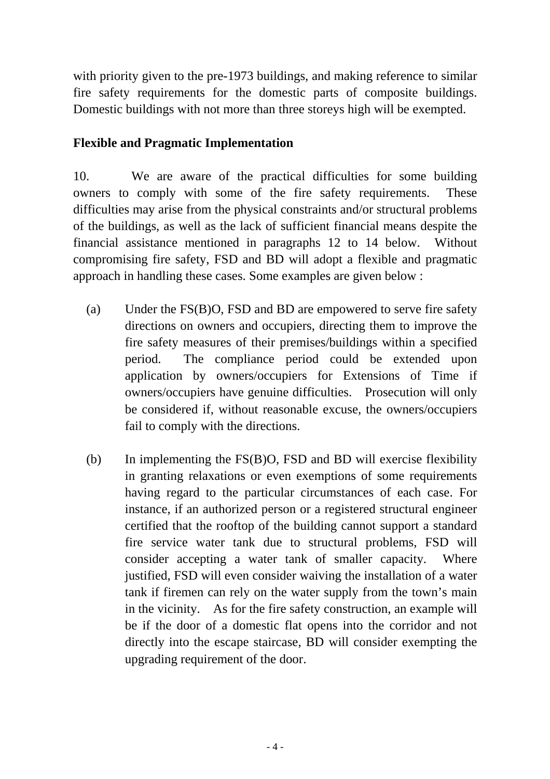with priority given to the pre-1973 buildings, and making reference to similar fire safety requirements for the domestic parts of composite buildings. Domestic buildings with not more than three storeys high will be exempted.

#### **Flexible and Pragmatic Implementation**

10. We are aware of the practical difficulties for some building owners to comply with some of the fire safety requirements. These difficulties may arise from the physical constraints and/or structural problems of the buildings, as well as the lack of sufficient financial means despite the financial assistance mentioned in paragraphs 12 to 14 below. Without compromising fire safety, FSD and BD will adopt a flexible and pragmatic approach in handling these cases. Some examples are given below :

- (a) Under the FS(B)O, FSD and BD are empowered to serve fire safety directions on owners and occupiers, directing them to improve the fire safety measures of their premises/buildings within a specified period. The compliance period could be extended upon application by owners/occupiers for Extensions of Time if owners/occupiers have genuine difficulties. Prosecution will only be considered if, without reasonable excuse, the owners/occupiers fail to comply with the directions.
- (b) In implementing the FS(B)O, FSD and BD will exercise flexibility in granting relaxations or even exemptions of some requirements having regard to the particular circumstances of each case. For instance, if an authorized person or a registered structural engineer certified that the rooftop of the building cannot support a standard fire service water tank due to structural problems, FSD will consider accepting a water tank of smaller capacity. Where justified, FSD will even consider waiving the installation of a water tank if firemen can rely on the water supply from the town's main in the vicinity. As for the fire safety construction, an example will be if the door of a domestic flat opens into the corridor and not directly into the escape staircase, BD will consider exempting the upgrading requirement of the door.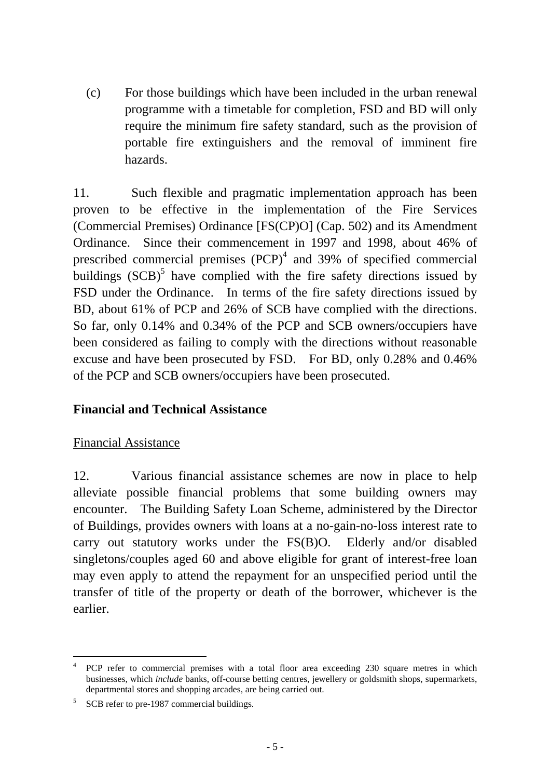(c) For those buildings which have been included in the urban renewal programme with a timetable for completion, FSD and BD will only require the minimum fire safety standard, such as the provision of portable fire extinguishers and the removal of imminent fire hazards.

11. Such flexible and pragmatic implementation approach has been proven to be effective in the implementation of the Fire Services (Commercial Premises) Ordinance [FS(CP)O] (Cap. 502) and its Amendment Ordinance. Since their commencement in 1997 and 1998, about 46% of prescribed commercial premises  $(PCP)^4$  and 39% of specified commercial buildings  $(SCB)^5$  have complied with the fire safety directions issued by FSD under the Ordinance. In terms of the fire safety directions issued by BD, about 61% of PCP and 26% of SCB have complied with the directions. So far, only 0.14% and 0.34% of the PCP and SCB owners/occupiers have been considered as failing to comply with the directions without reasonable excuse and have been prosecuted by FSD. For BD, only 0.28% and 0.46% of the PCP and SCB owners/occupiers have been prosecuted.

## **Financial and Technical Assistance**

## Financial Assistance

12. Various financial assistance schemes are now in place to help alleviate possible financial problems that some building owners may encounter. The Building Safety Loan Scheme, administered by the Director of Buildings, provides owners with loans at a no-gain-no-loss interest rate to carry out statutory works under the FS(B)O. Elderly and/or disabled singletons/couples aged 60 and above eligible for grant of interest-free loan may even apply to attend the repayment for an unspecified period until the transfer of title of the property or death of the borrower, whichever is the earlier.

 $\overline{a}$ 4 PCP refer to commercial premises with a total floor area exceeding 230 square metres in which businesses, which *include* banks, off-course betting centres, jewellery or goldsmith shops, supermarkets, departmental stores and shopping arcades, are being carried out.

<sup>5</sup> SCB refer to pre-1987 commercial buildings.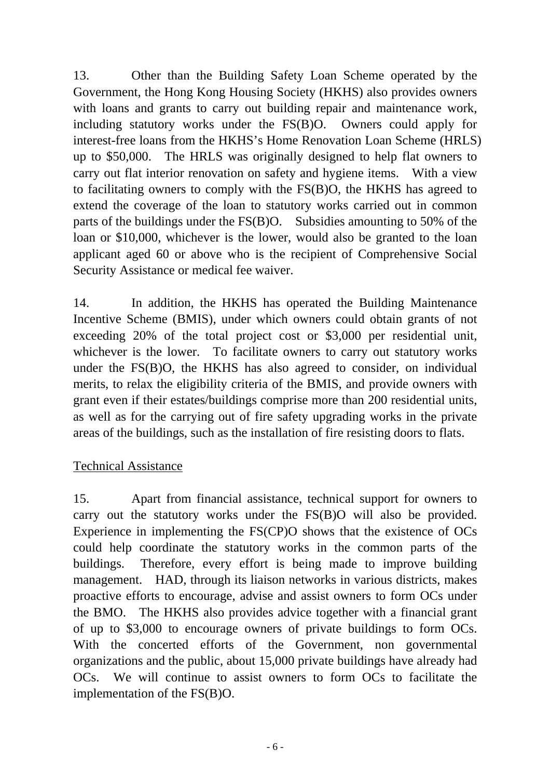13. Other than the Building Safety Loan Scheme operated by the Government, the Hong Kong Housing Society (HKHS) also provides owners with loans and grants to carry out building repair and maintenance work, including statutory works under the FS(B)O. Owners could apply for interest-free loans from the HKHS's Home Renovation Loan Scheme (HRLS) up to \$50,000. The HRLS was originally designed to help flat owners to carry out flat interior renovation on safety and hygiene items. With a view to facilitating owners to comply with the FS(B)O, the HKHS has agreed to extend the coverage of the loan to statutory works carried out in common parts of the buildings under the FS(B)O. Subsidies amounting to 50% of the loan or \$10,000, whichever is the lower, would also be granted to the loan applicant aged 60 or above who is the recipient of Comprehensive Social Security Assistance or medical fee waiver.

14. In addition, the HKHS has operated the Building Maintenance Incentive Scheme (BMIS), under which owners could obtain grants of not exceeding 20% of the total project cost or \$3,000 per residential unit, whichever is the lower. To facilitate owners to carry out statutory works under the FS(B)O, the HKHS has also agreed to consider, on individual merits, to relax the eligibility criteria of the BMIS, and provide owners with grant even if their estates/buildings comprise more than 200 residential units, as well as for the carrying out of fire safety upgrading works in the private areas of the buildings, such as the installation of fire resisting doors to flats.

## Technical Assistance

15. Apart from financial assistance, technical support for owners to carry out the statutory works under the FS(B)O will also be provided. Experience in implementing the FS(CP)O shows that the existence of OCs could help coordinate the statutory works in the common parts of the buildings. Therefore, every effort is being made to improve building management. HAD, through its liaison networks in various districts, makes proactive efforts to encourage, advise and assist owners to form OCs under the BMO. The HKHS also provides advice together with a financial grant of up to \$3,000 to encourage owners of private buildings to form OCs. With the concerted efforts of the Government, non governmental organizations and the public, about 15,000 private buildings have already had OCs. We will continue to assist owners to form OCs to facilitate the implementation of the FS(B)O.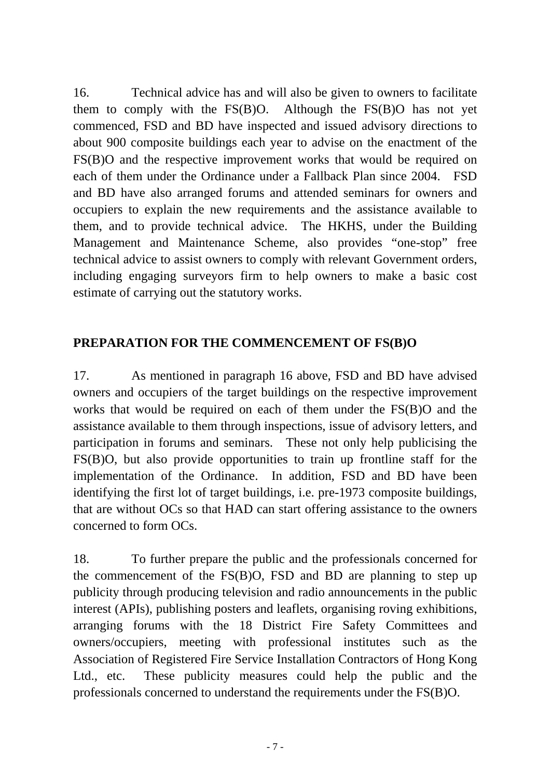16. Technical advice has and will also be given to owners to facilitate them to comply with the FS(B)O. Although the FS(B)O has not yet commenced, FSD and BD have inspected and issued advisory directions to about 900 composite buildings each year to advise on the enactment of the FS(B)O and the respective improvement works that would be required on each of them under the Ordinance under a Fallback Plan since 2004. FSD and BD have also arranged forums and attended seminars for owners and occupiers to explain the new requirements and the assistance available to them, and to provide technical advice. The HKHS, under the Building Management and Maintenance Scheme, also provides "one-stop" free technical advice to assist owners to comply with relevant Government orders, including engaging surveyors firm to help owners to make a basic cost estimate of carrying out the statutory works.

## **PREPARATION FOR THE COMMENCEMENT OF FS(B)O**

17. As mentioned in paragraph 16 above, FSD and BD have advised owners and occupiers of the target buildings on the respective improvement works that would be required on each of them under the FS(B)O and the assistance available to them through inspections, issue of advisory letters, and participation in forums and seminars. These not only help publicising the FS(B)O, but also provide opportunities to train up frontline staff for the implementation of the Ordinance. In addition, FSD and BD have been identifying the first lot of target buildings, i.e. pre-1973 composite buildings, that are without OCs so that HAD can start offering assistance to the owners concerned to form OCs.

18. To further prepare the public and the professionals concerned for the commencement of the FS(B)O, FSD and BD are planning to step up publicity through producing television and radio announcements in the public interest (APIs), publishing posters and leaflets, organising roving exhibitions, arranging forums with the 18 District Fire Safety Committees and owners/occupiers, meeting with professional institutes such as the Association of Registered Fire Service Installation Contractors of Hong Kong Ltd., etc. These publicity measures could help the public and the professionals concerned to understand the requirements under the FS(B)O.